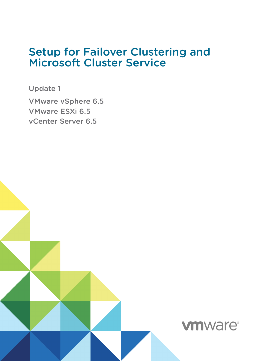## Setup for Failover Clustering and Microsoft Cluster Service

Update 1

VMware vSphere 6.5 VMware ESXi 6.5 vCenter Server 6.5

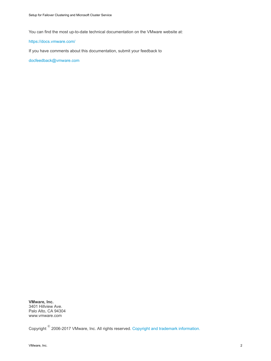You can find the most up-to-date technical documentation on the VMware website at:

#### <https://docs.vmware.com/>

If you have comments about this documentation, submit your feedback to

[docfeedback@vmware.com](mailto:docfeedback@vmware.com)

**VMware, Inc.** 3401 Hillview Ave. Palo Alto, CA 94304 www.vmware.com

Copyright  $^\circ$  2006-2017 VMware, Inc. All rights reserved. [Copyright and trademark information.](http://pubs.vmware.com/copyright-trademark.html)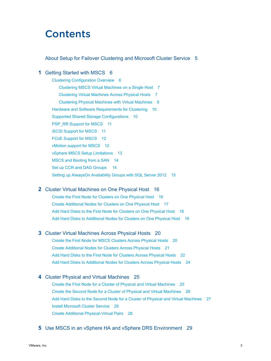## **Contents**

#### [About Setup for Failover Clustering and Microsoft Cluster Service 5](#page-4-0)

#### **1** [Getting Started with MSCS 6](#page-5-0)

[Clustering Configuration Overview 6](#page-5-0) [Clustering MSCS Virtual Machines on a Single Host 7](#page-6-0) [Clustering Virtual Machines Across Physical Hosts 7](#page-6-0) [Clustering Physical Machines with Virtual Machines 9](#page-8-0) [Hardware and Software Requirements for Clustering 10](#page-9-0) [Supported Shared Storage Configurations 10](#page-9-0) [PSP\\_RR Support for MSCS 11](#page-10-0) [iSCSI Support for MSCS 11](#page-10-0) [FCoE Support for MSCS 12](#page-11-0) [vMotion support for MSCS 12](#page-11-0) [vSphere MSCS Setup Limitations 13](#page-12-0) [MSCS and Booting from a SAN 14](#page-13-0) [Set up CCR and DAG Groups 14](#page-13-0) [Setting up AlwaysOn Availability Groups with SQL Server 2012 15](#page-14-0)

#### **2** [Cluster Virtual Machines on One Physical Host 16](#page-15-0)

[Create the First Node for Clusters on One Physical Host 16](#page-15-0) [Create Additional Nodes for Clusters on One Physical Host 17](#page-16-0) [Add Hard Disks to the First Node for Clusters on One Physical Host 18](#page-17-0) [Add Hard Disks to Additional Nodes for Clusters on One Physical Host 19](#page-18-0)

#### **3** [Cluster Virtual Machines Across Physical Hosts 20](#page-19-0)

[Create the First Node for MSCS Clusters Across Physical Hosts 20](#page-19-0) [Create Additional Nodes for Clusters Across Physical Hosts 21](#page-20-0) [Add Hard Disks to the First Node for Clusters Across Physical Hosts 22](#page-21-0) [Add Hard Disks to Additional Nodes for Clusters Across Physical Hosts 24](#page-23-0)

#### **4** [Cluster Physical and Virtual Machines 25](#page-24-0)

[Create the First Node for a Cluster of Physical and Virtual Machines 25](#page-24-0) [Create the Second Node for a Cluster of Physical and Virtual Machines 26](#page-25-0) [Add Hard Disks to the Second Node for a Cluster of Physical and Virtual Machines 27](#page-26-0) [Install Microsoft Cluster Service 28](#page-27-0) [Create Additional Physical-Virtual Pairs 28](#page-27-0)

#### **5** [Use MSCS in an vSphere HA and vSphere DRS Environment 29](#page-28-0)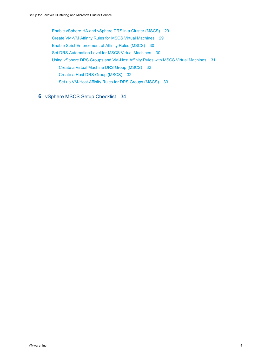[Enable vSphere HA and vSphere DRS in a Cluster \(MSCS\) 29](#page-28-0) [Create VM-VM Affinity Rules for MSCS Virtual Machines 29](#page-28-0) [Enable Strict Enforcement of Affinity Rules \(MSCS\) 30](#page-29-0) [Set DRS Automation Level for MSCS Virtual Machines 30](#page-29-0) [Using vSphere DRS Groups and VM-Host Affinity Rules with MSCS Virtual Machines 31](#page-30-0) [Create a Virtual Machine DRS Group \(MSCS\) 32](#page-31-0) [Create a Host DRS Group \(MSCS\) 32](#page-31-0) [Set up VM-Host Affinity Rules for DRS Groups \(MSCS\) 33](#page-32-0)

### **6** [vSphere MSCS Setup Checklist 34](#page-33-0)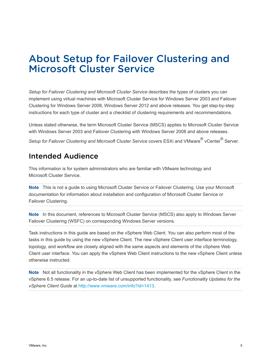## <span id="page-4-0"></span>About Setup for Failover Clustering and Microsoft Cluster Service

*Setup for Failover Clustering and Microsoft Cluster Service* describes the types of clusters you can implement using virtual machines with Microsoft Cluster Service for Windows Server 2003 and Failover Clustering for Windows Server 2008, Windows Server 2012 and above releases. You get step-by-step instructions for each type of cluster and a checklist of clustering requirements and recommendations.

Unless stated otherwise, the term Microsoft Cluster Service (MSCS) applies to Microsoft Cluster Service with Windows Server 2003 and Failover Clustering with Windows Server 2008 and above releases.

Setup for Failover Clustering and Microsoft Cluster Service covers ESXi and VMware <sup>®</sup> vCenter <sup>®</sup> Server.

### Intended Audience

This information is for system administrators who are familiar with VMware technology and Microsoft Cluster Service.

**Note** This is not a guide to using Microsoft Cluster Service or Failover Clustering. Use your Microsoft documentation for information about installation and configuration of Microsoft Cluster Service or Failover Clustering.

**Note** In this document, references to Microsoft Cluster Service (MSCS) also apply to Windows Server Failover Clustering (WSFC) on corresponding Windows Server versions.

Task instructions in this guide are based on the vSphere Web Client. You can also perform most of the tasks in this guide by using the new vSphere Client. The new vSphere Client user interface terminology, topology, and workflow are closely aligned with the same aspects and elements of the vSphere Web Client user interface. You can apply the vSphere Web Client instructions to the new vSphere Client unless otherwise instructed.

**Note** Not all functionality in the vSphere Web Client has been implemented for the vSphere Client in the vSphere 6.5 release. For an up-to-date list of unsupported functionality, see *Functionality Updates for the vSphere Client Guide* at [http://www.vmware.com/info?id=1413.](http://www.vmware.com/info?id=1413)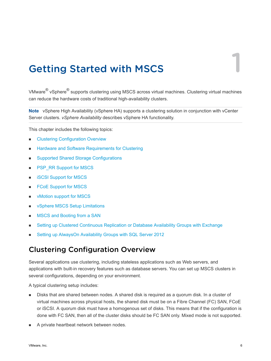## <span id="page-5-0"></span>Getting Started with MSCS 1

VMware $^{\circledR}$  vSphere $^{\circledR}$  supports clustering using MSCS across virtual machines. Clustering virtual machines can reduce the hardware costs of traditional high-availability clusters.

**Note** vSphere High Availability (vSphere HA) supports a clustering solution in conjunction with vCenter Server clusters. *vSphere Availability* describes vSphere HA functionality.

This chapter includes the following topics:

- **n** Clustering Configuration Overview
- [Hardware and Software Requirements for Clustering](#page-9-0)
- **n** [Supported Shared Storage Configurations](#page-9-0)
- **n** [PSP\\_RR Support for MSCS](#page-10-0)
- [iSCSI Support for MSCS](#page-10-0)
- [FCoE Support for MSCS](#page-11-0)
- **n** [vMotion support for MSCS](#page-11-0)
- **NO VSphere MSCS Setup Limitations**
- [MSCS and Booting from a SAN](#page-13-0)
- **n** [Setting up Clustered Continuous Replication or Database Availability Groups with Exchange](#page-13-0)
- <sup>n</sup> [Setting up AlwaysOn Availability Groups with SQL Server 2012](#page-14-0)

### Clustering Configuration Overview

Several applications use clustering, including stateless applications such as Web servers, and applications with built-in recovery features such as database servers. You can set up MSCS clusters in several configurations, depending on your environment.

A typical clustering setup includes:

- **n** Disks that are shared between nodes. A shared disk is required as a quorum disk. In a cluster of virtual machines across physical hosts, the shared disk must be on a Fibre Channel (FC) SAN, FCoE or iSCSI. A quorum disk must have a homogenous set of disks. This means that if the configuration is done with FC SAN, then all of the cluster disks should be FC SAN only. Mixed mode is not supported.
- A private heartbeat network between nodes.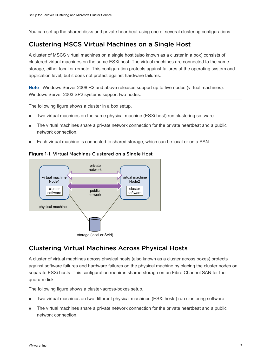<span id="page-6-0"></span>You can set up the shared disks and private heartbeat using one of several clustering configurations.

### Clustering MSCS Virtual Machines on a Single Host

A cluster of MSCS virtual machines on a single host (also known as a cluster in a box) consists of clustered virtual machines on the same ESXi host. The virtual machines are connected to the same storage, either local or remote. This configuration protects against failures at the operating system and application level, but it does not protect against hardware failures.

**Note** Windows Server 2008 R2 and above releases support up to five nodes (virtual machines). Windows Server 2003 SP2 systems support two nodes.

The following figure shows a cluster in a box setup.

- Two virtual machines on the same physical machine (ESXi host) run clustering software.
- The virtual machines share a private network connection for the private heartbeat and a public network connection.
- Each virtual machine is connected to shared storage, which can be local or on a SAN.

Figure 1-1. Virtual Machines Clustered on a Single Host



### Clustering Virtual Machines Across Physical Hosts

A cluster of virtual machines across physical hosts (also known as a cluster across boxes) protects against software failures and hardware failures on the physical machine by placing the cluster nodes on separate ESXi hosts. This configuration requires shared storage on an Fibre Channel SAN for the quorum disk.

The following figure shows a cluster-across-boxes setup.

- <sup>n</sup> Two virtual machines on two different physical machines (ESXi hosts) run clustering software.
- The virtual machines share a private network connection for the private heartbeat and a public network connection.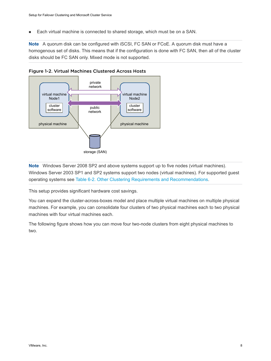■ Each virtual machine is connected to shared storage, which must be on a SAN.

**Note** A quorum disk can be configured with iSCSI, FC SAN or FCoE. A quorum disk must have a homogenous set of disks. This means that if the configuration is done with FC SAN, then all of the cluster disks should be FC SAN only. Mixed mode is not supported.





**Note** Windows Server 2008 SP2 and above systems support up to five nodes (virtual machines). Windows Server 2003 SP1 and SP2 systems support two nodes (virtual machines). For supported guest operating systems see [Table 6-2. Other Clustering Requirements and Recommendations.](#page-34-0)

This setup provides significant hardware cost savings.

You can expand the cluster-across-boxes model and place multiple virtual machines on multiple physical machines. For example, you can consolidate four clusters of two physical machines each to two physical machines with four virtual machines each.

The following figure shows how you can move four two-node clusters from eight physical machines to two.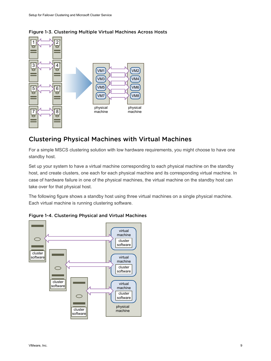

### <span id="page-8-0"></span>Figure 1-3. Clustering Multiple Virtual Machines Across Hosts

### Clustering Physical Machines with Virtual Machines

For a simple MSCS clustering solution with low hardware requirements, you might choose to have one standby host.

Set up your system to have a virtual machine corresponding to each physical machine on the standby host, and create clusters, one each for each physical machine and its corresponding virtual machine. In case of hardware failure in one of the physical machines, the virtual machine on the standby host can take over for that physical host.

The following figure shows a standby host using three virtual machines on a single physical machine. Each virtual machine is running clustering software.



Figure 1-4. Clustering Physical and Virtual Machines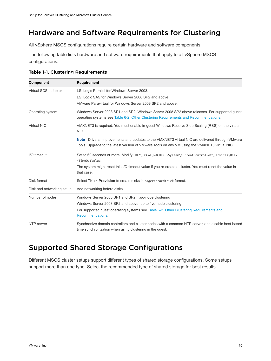### <span id="page-9-0"></span>Hardware and Software Requirements for Clustering

All vSphere MSCS configurations require certain hardware and software components.

The following table lists hardware and software requirements that apply to all vSphere MSCS configurations.

| <b>Component</b>          | <b>Requirement</b>                                                                                                                                                                                     |
|---------------------------|--------------------------------------------------------------------------------------------------------------------------------------------------------------------------------------------------------|
| Virtual SCSI adapter      | LSI Logic Parallel for Windows Server 2003.                                                                                                                                                            |
|                           | LSI Logic SAS for Windows Server 2008 SP2 and above.                                                                                                                                                   |
|                           | VMware Paravirtual for Windows Server 2008 SP2 and above                                                                                                                                               |
| Operating system          | Windows Server 2003 SP1 and SP2, Windows Server 2008 SP2 above releases. For supported guest<br>operating systems see Table 6-2. Other Clustering Requirements and Recommendations.                    |
| Virtual NIC               | VMXNET3 is required. You must enable in-guest Windows Receive Side Scaling (RSS) on the virtual<br>NIC.                                                                                                |
|                           | <b>Note</b> Drivers, improvements and updates to the VMXNET3 virtual NIC are delivered through VMware<br>Tools. Upgrade to the latest version of VMware Tools on any VM using the VMXNET3 virtual NIC. |
| I/O timeout               | Set to 60 seconds or more. Modify HKEY_LOCAL_MACHINE\System\CurrentControlSet\Services\Disk<br>\TimeOutValue.                                                                                          |
|                           | The system might reset this I/O timeout value if you re-create a cluster. You must reset the value in<br>that case.                                                                                    |
| Disk format               | Select Thick Provision to create disks in eagerzeroed thick format.                                                                                                                                    |
| Disk and networking setup | Add networking before disks.                                                                                                                                                                           |
| Number of nodes           | Windows Server 2003 SP1 and SP2: two-node clustering                                                                                                                                                   |
|                           | Windows Server 2008 SP2 and above: up to five-node clustering                                                                                                                                          |
|                           | For supported guest operating systems see Table 6-2. Other Clustering Requirements and<br>Recommendations.                                                                                             |
| NTP server                | Synchronize domain controllers and cluster nodes with a common NTP server, and disable host-based<br>time synchronization when using clustering in the guest.                                          |

#### Table 1-1. Clustering Requirements

### Supported Shared Storage Configurations

Different MSCS cluster setups support different types of shared storage configurations. Some setups support more than one type. Select the recommended type of shared storage for best results.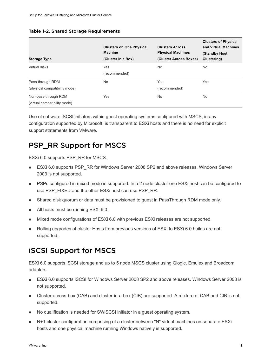<span id="page-10-0"></span>

| Table 1-2. Shared Storage Requirements |  |  |  |  |
|----------------------------------------|--|--|--|--|
|----------------------------------------|--|--|--|--|

| <b>Storage Type</b>                                  | <b>Clusters on One Physical</b><br><b>Machine</b><br>(Cluster in a Box) | <b>Clusters Across</b><br><b>Physical Machines</b><br>(Cluster Across Boxes) | <b>Clusters of Physical</b><br>and Virtual Machines<br>(Standby Host<br>Clustering) |
|------------------------------------------------------|-------------------------------------------------------------------------|------------------------------------------------------------------------------|-------------------------------------------------------------------------------------|
| Virtual disks                                        | Yes<br>(recommended)                                                    | <b>No</b>                                                                    | No                                                                                  |
| Pass-through RDM<br>(physical compatibility mode)    | <b>No</b>                                                               | Yes<br>(recommended)                                                         | Yes                                                                                 |
| Non-pass-through RDM<br>(virtual compatibility mode) | Yes                                                                     | <b>No</b>                                                                    | No                                                                                  |

Use of software iSCSI initiators within guest operating systems configured with MSCS, in any configuration supported by Microsoft, is transparent to ESXi hosts and there is no need for explicit support statements from VMware.

### PSP\_RR Support for MSCS

ESXi 6.0 supports PSP\_RR for MSCS.

- ESXi 6.0 supports PSP\_RR for Windows Server 2008 SP2 and above releases. Windows Server 2003 is not supported.
- **PSPs configured in mixed mode is supported. In a 2 node cluster one ESXi host can be configured to** use PSP\_FIXED and the other ESXi host can use PSP\_RR.
- **n** Shared disk quorum or data must be provisioned to guest in PassThrough RDM mode only.
- All hosts must be running ESXi 6.0.
- n Mixed mode configurations of ESXi 6.0 with previous ESXi releases are not supported.
- Rolling upgrades of cluster Hosts from previous versions of ESXi to ESXi 6.0 builds are not supported.

### iSCSI Support for MSCS

ESXi 6.0 supports iSCSI storage and up to 5 node MSCS cluster using Qlogic, Emulex and Broadcom adapters.

- ESXi 6.0 supports iSCSI for Windows Server 2008 SP2 and above releases. Windows Server 2003 is not supported.
- Cluster-across-box (CAB) and cluster-in-a-box (CIB) are supported. A mixture of CAB and CIB is not supported.
- <sup>n</sup> No qualification is needed for SWiSCSI initiator in a guest operating system.
- <sup>n</sup> N+1 cluster configuration comprising of a cluster between "N" virtual machines on separate ESXi hosts and one physical machine running Windows natively is supported.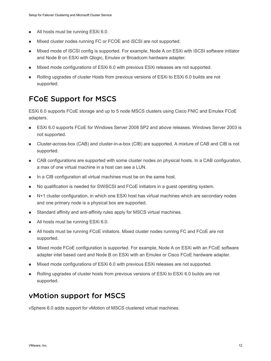- <span id="page-11-0"></span>■ All hosts must be running ESXi 6.0.
- Mixed cluster nodes running FC or FCOE and iSCSI are not supported.
- n Mixed mode of iSCSI config is supported. For example, Node A on ESXi with iSCSI software initiator and Node B on ESXi with Qlogic, Emulex or Broadcom hardware adapter.
- n Mixed mode configurations of ESXi 6.0 with previous ESXi releases are not supported.
- <sup>n</sup> Rolling upgrades of cluster Hosts from previous versions of ESXi to ESXi 6.0 builds are not supported.

### FCoE Support for MSCS

ESXi 6.0 supports FCoE storage and up to 5 node MSCS clusters using Cisco FNIC and Emulex FCoE adapters.

- ESXi 6.0 supports FCoE for Windows Server 2008 SP2 and above releases. Windows Server 2003 is not supported.
- Cluster-across-box (CAB) and cluster-in-a-box (CIB) are supported. A mixture of CAB and CIB is not supported.
- **n** CAB configurations are supported with some cluster nodes on physical hosts. In a CAB configuration, a max of one virtual machine in a host can see a LUN.
- n In a CIB configuration all virtual machines must be on the same host.
- **No qualification is needed for SWISCSI and FCoE initiators in a quest operating system.**
- N+1 cluster configuration, in which one ESXi host has virtual machines which are secondary nodes and one primary node is a physical box are supported.
- **n** Standard affinity and anti-affinity rules apply for MSCS virtual machines.
- All hosts must be running ESXi 6.0.
- **n** All hosts must be running FCoE initiators. Mixed cluster nodes running FC and FCoE are not supported.
- Mixed mode FCoE configuration is supported. For example, Node A on ESXi with an FCoE software adapter intel based card and Node B on ESXi with an Emulex or Cisco FCoE hardware adapter.
- Mixed mode configurations of ESXi 6.0 with previous ESXi releases are not supported.
- <sup>n</sup> Rolling upgrades of cluster hosts from previous versions of ESXi to ESXi 6.0 builds are not supported.

### vMotion support for MSCS

vSphere 6.0 adds support for vMotion of MSCS clustered virtual machines.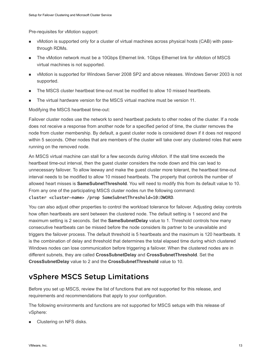<span id="page-12-0"></span>Pre-requisites for vMotion support:

- vMotion is supported only for a cluster of virtual machines across physical hosts (CAB) with passthrough RDMs.
- <sup>n</sup> The vMotion network must be a 10Gbps Ethernet link. 1Gbps Ethernet link for vMotion of MSCS virtual machines is not supported.
- **Notion is supported for Windows Server 2008 SP2 and above releases. Windows Server 2003 is not** supported.
- The MSCS cluster heartbeat time-out must be modified to allow 10 missed heartbeats.
- The virtual hardware version for the MSCS virtual machine must be version 11.

Modifying the MSCS heartbeat time-out:

Failover cluster nodes use the network to send heartbeat packets to other nodes of the cluster. If a node does not receive a response from another node for a specified period of time, the cluster removes the node from cluster membership. By default, a guest cluster node is considered down if it does not respond within 5 seconds. Other nodes that are members of the cluster will take over any clustered roles that were running on the removed node.

An MSCS virtual machine can stall for a few seconds during vMotion. If the stall time exceeds the heartbeat time-out interval, then the guest cluster considers the node down and this can lead to unnecessary failover. To allow leeway and make the guest cluster more tolerant, the heartbeat time-out interval needs to be modified to allow 10 missed heartbeats. The property that controls the number of allowed heart misses is **SameSubnetThreshold**. You will need to modify this from its default value to 10. From any one of the participating MSCS cluster nodes run the following command:

#### cluster <cluster-name> /prop SameSubnetThreshold=10:DWORD.

You can also adjust other properties to control the workload tolerance for failover. Adjusting delay controls how often heartbeats are sent between the clustered node. The default setting is 1 second and the maximum setting is 2 seconds. Set the **SameSubnetDelay** value to 1. Threshold controls how many consecutive heartbeats can be missed before the node considers its partner to be unavailable and triggers the failover process. The default threshold is 5 heartbeats and the maximum is 120 heartbeats. It is the combination of delay and threshold that determines the total elapsed time during which clustered Windows nodes can lose communication before triggering a failover. When the clustered nodes are in different subnets, they are called **CrossSubnetDelay** and **CrossSubnetThreshold**. Set the **CrossSubnetDelay** value to 2 and the **CrossSubnetThreshold** value to 10.

### vSphere MSCS Setup Limitations

Before you set up MSCS, review the list of functions that are not supported for this release, and requirements and recommendations that apply to your configuration.

The following environments and functions are not supported for MSCS setups with this release of vSphere:

**n** Clustering on NFS disks.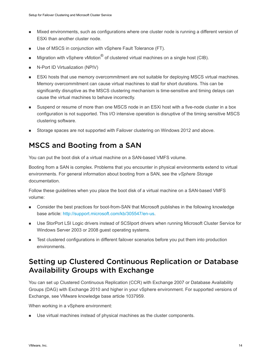- <span id="page-13-0"></span>n Mixed environments, such as configurations where one cluster node is running a different version of ESXi than another cluster node.
- **No. 13. Use of MSCS in conjunction with vSphere Fault Tolerance (FT).**
- Migration with vSphere vMotion $^\circledR$  of clustered virtual machines on a single host (CIB).
- **N-Port ID Virtualization (NPIV)**
- **ESXi hosts that use memory overcommitment are not suitable for deploying MSCS virtual machines.** Memory overcommitment can cause virtual machines to stall for short durations. This can be significantly disruptive as the MSCS clustering mechanism is time-sensitive and timing delays can cause the virtual machines to behave incorrectly.
- **n** Suspend or resume of more than one MSCS node in an ESXi host with a five-node cluster in a box configuration is not supported. This I/O intensive operation is disruptive of the timing sensitive MSCS clustering software.
- Storage spaces are not supported with Failover clustering on Windows 2012 and above.

### MSCS and Booting from a SAN

You can put the boot disk of a virtual machine on a SAN-based VMFS volume.

Booting from a SAN is complex. Problems that you encounter in physical environments extend to virtual environments. For general information about booting from a SAN, see the *vSphere Storage* documentation.

Follow these guidelines when you place the boot disk of a virtual machine on a SAN-based VMFS volume:

- **n** Consider the best practices for boot-from-SAN that Microsoft publishes in the following knowledge base article: <http://support.microsoft.com/kb/305547/en-us>.
- **Duster StorPort LSI Logic drivers instead of SCSIport drivers when running Microsoft Cluster Service for** Windows Server 2003 or 2008 guest operating systems.
- <sup>n</sup> Test clustered configurations in different failover scenarios before you put them into production environments.

### Setting up Clustered Continuous Replication or Database Availability Groups with Exchange

You can set up Clustered Continuous Replication (CCR) with Exchange 2007 or Database Availability Groups (DAG) with Exchange 2010 and higher in your vSphere environment. For supported versions of Exchange, see VMware knowledge base article 1037959.

When working in a vSphere environment:

**No Use virtual machines instead of physical machines as the cluster components.**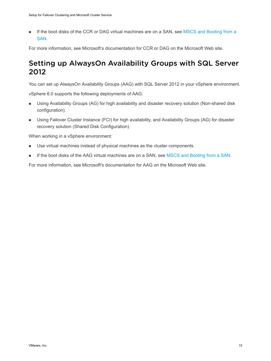<span id="page-14-0"></span>**n** If the boot disks of the CCR or DAG virtual machines are on a SAN, see [MSCS and Booting from a](#page-13-0) [SAN.](#page-13-0)

For more information, see Microsoft's documentation for CCR or DAG on the Microsoft Web site.

### Setting up AlwaysOn Availability Groups with SQL Server 2012

You can set up AlwaysOn Availability Groups (AAG) with SQL Server 2012 in your vSphere environment.

vSphere 6.0 supports the following deployments of AAG:

- **n** Using Availability Groups (AG) for high availability and disaster recovery solution (Non-shared disk configuration).
- Using Failover Cluster Instance (FCI) for high availability, and Availability Groups (AG) for disaster recovery solution (Shared Disk Configuration).

When working in a vSphere environment:

- **No Use virtual machines instead of physical machines as the cluster components.**
- **n** If the boot disks of the AAG virtual machines are on a SAN, see [MSCS and Booting from a SAN.](#page-13-0)

For more information, see Microsoft's documentation for AAG on the Microsoft Web site.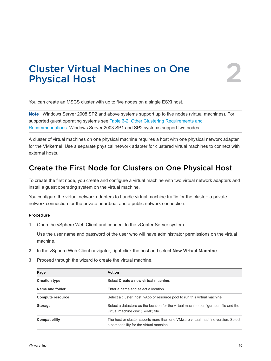# <span id="page-15-0"></span>Cluster Virtual Machines on One **Cluster Virtual Machines on One**

You can create an MSCS cluster with up to five nodes on a single ESXi host.

**Note** Windows Server 2008 SP2 and above systems support up to five nodes (virtual machines). For supported guest operating systems see [Table 6-2. Other Clustering Requirements and](#page-34-0) [Recommendations](#page-34-0). Windows Server 2003 SP1 and SP2 systems support two nodes.

A cluster of virtual machines on one physical machine requires a host with one physical network adapter for the VMkernel. Use a separate physical network adapter for clustered virtual machines to connect with external hosts.

### Create the First Node for Clusters on One Physical Host

To create the first node, you create and configure a virtual machine with two virtual network adapters and install a guest operating system on the virtual machine.

You configure the virtual network adapters to handle virtual machine traffic for the cluster: a private network connection for the private heartbeat and a public network connection.

#### Procedure

**1** Open the vSphere Web Client and connect to the vCenter Server system.

Use the user name and password of the user who will have administrator permissions on the virtual machine.

- **2** In the vSphere Web Client navigator, right-click the host and select **New Virtual Machine**.
- **3** Proceed through the wizard to create the virtual machine.

| Page                    | Action                                                                                                                       |
|-------------------------|------------------------------------------------------------------------------------------------------------------------------|
| <b>Creation type</b>    | Select Create a new virtual machine.                                                                                         |
| Name and folder         | Enter a name and select a location.                                                                                          |
| <b>Compute resource</b> | Select a cluster, host, vApp or resource pool to run this virtual machine.                                                   |
| <b>Storage</b>          | Select a datastore as the location for the virtual machine configuration file and the<br>virtual machine disk (, vmdk) file. |
| Compatibility           | The host or cluster suports more than one VMware virtual machine version. Select<br>a compatibility for the virtual machine. |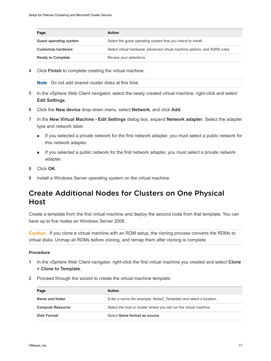<span id="page-16-0"></span>

| Page                          | <b>Action</b>                                                              |
|-------------------------------|----------------------------------------------------------------------------|
| <b>Guest operating system</b> | Select the quest operating system that you intend to install.              |
| <b>Customize hardware</b>     | Select virtual hardware, advanced virtual machine options, and SDRS rules. |
| <b>Ready to Complete</b>      | Review your selections.                                                    |

**4** Click **Finish** to complete creating the virtual machine.

**Note** Do not add shared cluster disks at this time.

- **5** In the vSphere Web Client navigator, select the newly created virtual machine, right-click and select **Edit Settings**.
- **6** Click the **New device** drop-down menu, select **Network**, and click **Add**.
- **7** In the **New Virtual Machine Edit Settings** dialog box, expand **Network adapter**. Select the adapter type and network label.
	- <sup>n</sup> If you selected a private network for the first network adapter, you must select a public network for this network adapter.
	- <sup>n</sup> If you selected a public network for the first network adapter, you must select a private network adapter.
- **8** Click **OK**.
- **9** Install a Windows Server operating system on the virtual machine.

### Create Additional Nodes for Clusters on One Physical Host

Create a template from the first virtual machine and deploy the second node from that template. You can have up to five nodes on Windows Server 2008.

**Caution** If you clone a virtual machine with an RDM setup, the cloning process converts the RDMs to virtual disks. Unmap all RDMs before cloning, and remap them after cloning is complete.

#### Procedure

- **1** In the vSphere Web Client navigator, right-click the first virtual machine you created and select **Clone > Clone to Template**.
- **2** Proceed through the wizard to create the virtual machine template.

| Page                    | <b>Action</b>                                                      |
|-------------------------|--------------------------------------------------------------------|
| Name and folder         | Enter a name (for example, Node2 Template) and select a location.  |
| <b>Compute Resource</b> | Select the host or cluster where you will run the virtual machine. |
| <b>Disk Format</b>      | Select Same format as source.                                      |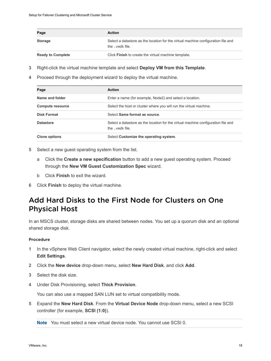<span id="page-17-0"></span>

| Page                     | <b>Action</b>                                                                                        |
|--------------------------|------------------------------------------------------------------------------------------------------|
| <b>Storage</b>           | Select a datastore as the location for the virtual machine configuration file and<br>the .vmdk file. |
| <b>Ready to Complete</b> | Click Finish to create the virtual machine template.                                                 |

- **3** Right-click the virtual machine template and select **Deploy VM from this Template**.
- **4** Proceed through the deployment wizard to deploy the virtual machine.

| Page                    | Action                                                                                                |
|-------------------------|-------------------------------------------------------------------------------------------------------|
| Name and folder         | Enter a name (for example, Node2) and select a location.                                              |
| <b>Compute resource</b> | Select the host or cluster where you will run the virtual machine.                                    |
| <b>Disk Format</b>      | Select Same format as source                                                                          |
| <b>Datastore</b>        | Select a datastore as the location for the virtual machine configuration file and<br>the . vmdk file. |
| <b>Clone options</b>    | Select Customize the operating system.                                                                |

- **5** Select a new guest operating system from the list.
	- a Click the **Create a new specification** button to add a new guest operating system. Proceed through the **New VM Guest Customization Spec** wizard.
	- b Click **Finish** to exit the wizard.
- **6** Click **Finish** to deploy the virtual machine.

### Add Hard Disks to the First Node for Clusters on One Physical Host

In an MSCS cluster, storage disks are shared between nodes. You set up a quorum disk and an optional shared storage disk.

#### Procedure

- **1** In the vSphere Web Client navigator, select the newly created virtual machine, right-click and select **Edit Settings**.
- **2** Click the **New device** drop-down menu, select **New Hard Disk**, and click **Add**.
- **3** Select the disk size.
- **4** Under Disk Provisioning, select **Thick Provision**.

You can also use a mapped SAN LUN set to virtual compatibility mode.

**5** Expand the **New Hard Disk**. From the **Virtual Device Node** drop-down menu, select a new SCSI controller (for example, **SCSI (1:0)**).

**Note** You must select a new virtual device node. You cannot use SCSI 0.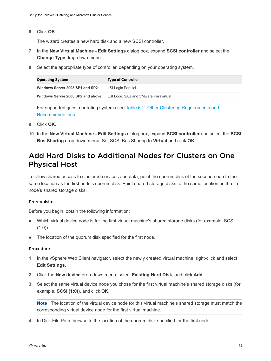<span id="page-18-0"></span>**6** Click **OK**.

The wizard creates a new hard disk and a new SCSI controller.

- **7** In the **New Virtual Machine Edit Settings** dialog box, expand **SCSI controller** and select the **Change Type** drop-down menu.
- **8** Select the appropriate type of controller, depending on your operating system.

| <b>Operating System</b>           | <b>Type of Controller</b>            |
|-----------------------------------|--------------------------------------|
| Windows Server 2003 SP1 and SP2   | LSI Logic Parallel                   |
| Windows Server 2008 SP2 and above | LSI Logic SAS and VMware Paravirtual |

For supported guest operating systems see [Table 6-2. Other Clustering Requirements and](#page-34-0) [Recommendations](#page-34-0).

- **9** Click **OK**.
- **10** In the **New Virtual Machine Edit Settings** dialog box, expand **SCSI controller** and select the **SCSI Bus Sharing** drop-down menu. Set SCSI Bus Sharing to **Virtual** and click **OK**.

### Add Hard Disks to Additional Nodes for Clusters on One Physical Host

To allow shared access to clustered services and data, point the quorum disk of the second node to the same location as the first node's quorum disk. Point shared storage disks to the same location as the first node's shared storage disks.

#### **Prerequisites**

Before you begin, obtain the following information:

- Which virtual device node is for the first virtual machine's shared storage disks (for example, SCSI)  $(1:0)$ ).
- The location of the quorum disk specified for the first node.

#### Procedure

- **1** In the vSphere Web Client navigator, select the newly created virtual machine, right-click and select **Edit Settings**.
- **2** Click the **New device** drop-down menu, select **Existing Hard Disk**, and click **Add**.
- **3** Select the same virtual device node you chose for the first virtual machine's shared storage disks (for example, **SCSI (1:0)**), and click **OK**.

**Note** The location of the virtual device node for this virtual machine's shared storage must match the corresponding virtual device node for the first virtual machine.

**4** In Disk File Path, browse to the location of the quorum disk specified for the first node.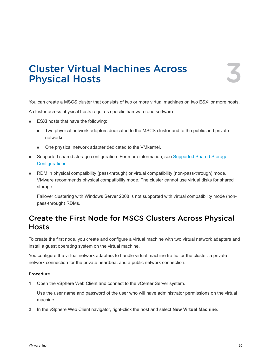# <span id="page-19-0"></span>Cluster Virtual Machines Across **Cluster Virtual Machines Across**<br>Physical Hosts

You can create a MSCS cluster that consists of two or more virtual machines on two ESXi or more hosts.

A cluster across physical hosts requires specific hardware and software.

- ESXi hosts that have the following:
	- **n** Two physical network adapters dedicated to the MSCS cluster and to the public and private networks.
	- One physical network adapter dedicated to the VMkernel.
- **n** Supported shared storage configuration. For more information, see [Supported Shared Storage](#page-9-0) [Configurations](#page-9-0).
- **n** RDM in physical compatibility (pass-through) or virtual compatibility (non-pass-through) mode. VMware recommends physical compatibility mode. The cluster cannot use virtual disks for shared storage.

Failover clustering with Windows Server 2008 is not supported with virtual compatibility mode (nonpass-through) RDMs.

### Create the First Node for MSCS Clusters Across Physical **Hosts**

To create the first node, you create and configure a virtual machine with two virtual network adapters and install a guest operating system on the virtual machine.

You configure the virtual network adapters to handle virtual machine traffic for the cluster: a private network connection for the private heartbeat and a public network connection.

#### Procedure

**1** Open the vSphere Web Client and connect to the vCenter Server system.

Use the user name and password of the user who will have administrator permissions on the virtual machine.

**2** In the vSphere Web Client navigator, right-click the host and select **New Virtual Machine**.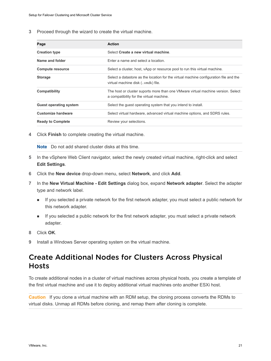<span id="page-20-0"></span>**3** Proceed through the wizard to create the virtual machine.

| <b>Action</b>                                                                                                                |
|------------------------------------------------------------------------------------------------------------------------------|
| Select Create a new virtual machine.                                                                                         |
| Enter a name and select a location.                                                                                          |
| Select a cluster, host, vApp or resource pool to run this virtual machine.                                                   |
| Select a datastore as the location for the virtual machine configuration file and the<br>virtual machine disk (. vmdk) file. |
| The host or cluster suports more than one VMware virtual machine version. Select<br>a compatibility for the virtual machine. |
| Select the guest operating system that you intend to install.                                                                |
| Select virtual hardware, advanced virtual machine options, and SDRS rules.                                                   |
| Review your selections.                                                                                                      |
|                                                                                                                              |

**4** Click **Finish** to complete creating the virtual machine.

**Note** Do not add shared cluster disks at this time.

- **5** In the vSphere Web Client navigator, select the newly created virtual machine, right-click and select **Edit Settings**.
- **6** Click the **New device** drop-down menu, select **Network**, and click **Add**.
- **7** In the **New Virtual Machine Edit Settings** dialog box, expand **Network adapter**. Select the adapter type and network label.
	- <sup>n</sup> If you selected a private network for the first network adapter, you must select a public network for this network adapter.
	- <sup>n</sup> If you selected a public network for the first network adapter, you must select a private network adapter.
- **8** Click **OK**.
- **9** Install a Windows Server operating system on the virtual machine.

### Create Additional Nodes for Clusters Across Physical **Hosts**

To create additional nodes in a cluster of virtual machines across physical hosts, you create a template of the first virtual machine and use it to deploy additional virtual machines onto another ESXi host.

**Caution** If you clone a virtual machine with an RDM setup, the cloning process converts the RDMs to virtual disks. Unmap all RDMs before cloning, and remap them after cloning is complete.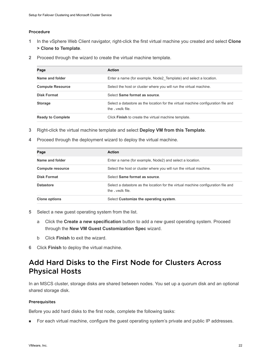#### <span id="page-21-0"></span>Procedure

- **1** In the vSphere Web Client navigator, right-click the first virtual machine you created and select **Clone > Clone to Template**.
- **2** Proceed through the wizard to create the virtual machine template.

| Page                     | <b>Action</b>                                                                                      |
|--------------------------|----------------------------------------------------------------------------------------------------|
| Name and folder          | Enter a name (for example, Node2 Template) and select a location.                                  |
| <b>Compute Resource</b>  | Select the host or cluster where you will run the virtual machine.                                 |
| <b>Disk Format</b>       | Select Same format as source                                                                       |
| <b>Storage</b>           | Select a datastore as the location for the virtual machine configuration file and<br>the vmdk file |
| <b>Ready to Complete</b> | Click <b>Finish</b> to create the virtual machine template.                                        |

- **3** Right-click the virtual machine template and select **Deploy VM from this Template**.
- **4** Proceed through the deployment wizard to deploy the virtual machine.

| Page                    | <b>Action</b>                                                                                      |
|-------------------------|----------------------------------------------------------------------------------------------------|
| Name and folder         | Enter a name (for example, Node2) and select a location.                                           |
| <b>Compute resource</b> | Select the host or cluster where you will run the virtual machine.                                 |
| <b>Disk Format</b>      | Select Same format as source                                                                       |
| <b>Datastore</b>        | Select a datastore as the location for the virtual machine configuration file and<br>the vmdk file |
| <b>Clone options</b>    | Select Customize the operating system.                                                             |

- **5** Select a new guest operating system from the list.
	- a Click the **Create a new specification** button to add a new guest operating system. Proceed through the **New VM Guest Customization Spec** wizard.
	- b Click **Finish** to exit the wizard.
- **6** Click **Finish** to deploy the virtual machine.

### Add Hard Disks to the First Node for Clusters Across Physical Hosts

In an MSCS cluster, storage disks are shared between nodes. You set up a quorum disk and an optional shared storage disk.

#### **Prerequisites**

Before you add hard disks to the first node, complete the following tasks:

**n** For each virtual machine, configure the guest operating system's private and public IP addresses.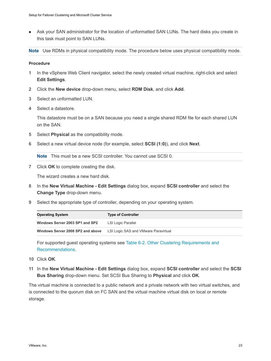**n** Ask your SAN administrator for the location of unformatted SAN LUNs. The hard disks you create in this task must point to SAN LUNs.

**Note** Use RDMs in physical compatibility mode. The procedure below uses physical compatibility mode.

#### Procedure

- **1** In the vSphere Web Client navigator, select the newly created virtual machine, right-click and select **Edit Settings**.
- **2** Click the **New device** drop-down menu, select **RDM Disk**, and click **Add**.
- **3** Select an unformatted LUN.
- **4** Select a datastore.

This datastore must be on a SAN because you need a single shared RDM file for each shared LUN on the SAN.

- **5** Select **Physical** as the compatibility mode.
- **6** Select a new virtual device node (for example, select **SCSI (1:0)**), and click **Next**.

**Note** This must be a new SCSI controller. You cannot use SCSI 0.

**7** Click **OK** to complete creating the disk.

The wizard creates a new hard disk.

- **8** In the **New Virtual Machine Edit Settings** dialog box, expand **SCSI controller** and select the **Change Type** drop-down menu.
- **9** Select the appropriate type of controller, depending on your operating system.

| <b>Operating System</b>           | <b>Type of Controller</b>            |
|-----------------------------------|--------------------------------------|
| Windows Server 2003 SP1 and SP2   | LSI Logic Parallel                   |
| Windows Server 2008 SP2 and above | LSI Logic SAS and VMware Paravirtual |

For supported guest operating systems see [Table 6-2. Other Clustering Requirements and](#page-34-0) [Recommendations](#page-34-0).

- **10** Click **OK**.
- **11** In the **New Virtual Machine Edit Settings** dialog box, expand **SCSI controller** and select the **SCSI Bus Sharing** drop-down menu. Set SCSI Bus Sharing to **Physical** and click **OK**.

The virtual machine is connected to a public network and a private network with two virtual switches, and is connected to the quorum disk on FC SAN and the virtual machine virtual disk on local or remote storage.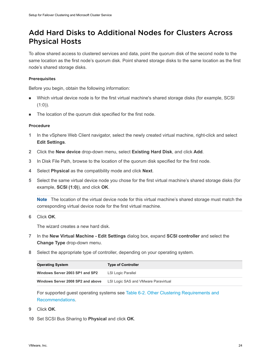### <span id="page-23-0"></span>Add Hard Disks to Additional Nodes for Clusters Across Physical Hosts

To allow shared access to clustered services and data, point the quorum disk of the second node to the same location as the first node's quorum disk. Point shared storage disks to the same location as the first node's shared storage disks.

#### Prerequisites

Before you begin, obtain the following information:

- **Nich virtual device node is for the first virtual machine's shared storage disks (for example, SCSI**)  $(1:0)$ ).
- **n** The location of the quorum disk specified for the first node.

#### Procedure

- **1** In the vSphere Web Client navigator, select the newly created virtual machine, right-click and select **Edit Settings**.
- **2** Click the **New device** drop-down menu, select **Existing Hard Disk**, and click **Add**.
- **3** In Disk File Path, browse to the location of the quorum disk specified for the first node.
- **4** Select **Physical** as the compatibility mode and click **Next**.
- **5** Select the same virtual device node you chose for the first virtual machine's shared storage disks (for example, **SCSI (1:0)**), and click **OK**.

**Note** The location of the virtual device node for this virtual machine's shared storage must match the corresponding virtual device node for the first virtual machine.

**6** Click **OK**.

The wizard creates a new hard disk.

- **7** In the **New Virtual Machine Edit Settings** dialog box, expand **SCSI controller** and select the **Change Type** drop-down menu.
- **8** Select the appropriate type of controller, depending on your operating system.

| <b>Operating System</b>           | <b>Type of Controller</b>            |
|-----------------------------------|--------------------------------------|
| Windows Server 2003 SP1 and SP2   | LSI Logic Parallel                   |
| Windows Server 2008 SP2 and above | LSI Logic SAS and VMware Paravirtual |

For supported guest operating systems see [Table 6-2. Other Clustering Requirements and](#page-34-0) [Recommendations](#page-34-0).

- **9** Click **OK**.
- **10** Set SCSI Bus Sharing to **Physical** and click **OK**.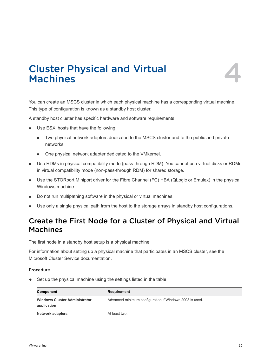

# <span id="page-24-0"></span>Cluster Physical and Virtual Cluster Physical and Virtual<br>Machines

You can create an MSCS cluster in which each physical machine has a corresponding virtual machine. This type of configuration is known as a standby host cluster.

A standby host cluster has specific hardware and software requirements.

- **No. Use ESXi hosts that have the following:** 
	- <sup>n</sup> Two physical network adapters dedicated to the MSCS cluster and to the public and private networks.
	- One physical network adapter dedicated to the VMkernel.
- **n** Use RDMs in physical compatibility mode (pass-through RDM). You cannot use virtual disks or RDMs in virtual compatibility mode (non-pass-through RDM) for shared storage.
- Use the STORport Miniport driver for the Fibre Channel (FC) HBA (QLogic or Emulex) in the physical Windows machine.
- Do not run multipathing software in the physical or virtual machines.
- **Dear** Use only a single physical path from the host to the storage arrays in standby host configurations.

### Create the First Node for a Cluster of Physical and Virtual Machines

The first node in a standby host setup is a physical machine.

For information about setting up a physical machine that participates in an MSCS cluster, see the Microsoft Cluster Service documentation.

#### Procedure

 $\bullet$  Set up the physical machine using the settings listed in the table.

| Component                                           | Requirement                                             |
|-----------------------------------------------------|---------------------------------------------------------|
| <b>Windows Cluster Administrator</b><br>application | Advanced minimum configuration if Windows 2003 is used. |
| <b>Network adapters</b>                             | At least two.                                           |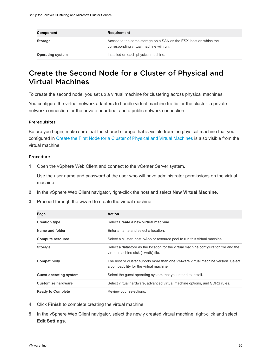<span id="page-25-0"></span>

| Component               | Requirement                                                                                                  |
|-------------------------|--------------------------------------------------------------------------------------------------------------|
| <b>Storage</b>          | Access to the same storage on a SAN as the ESXI host on which the<br>corresponding virtual machine will run. |
| <b>Operating system</b> | Installed on each physical machine.                                                                          |

### Create the Second Node for a Cluster of Physical and Virtual Machines

To create the second node, you set up a virtual machine for clustering across physical machines.

You configure the virtual network adapters to handle virtual machine traffic for the cluster: a private network connection for the private heartbeat and a public network connection.

#### **Prerequisites**

Before you begin, make sure that the shared storage that is visible from the physical machine that you configured in [Create the First Node for a Cluster of Physical and Virtual Machines](#page-24-0) is also visible from the virtual machine.

#### Procedure

**1** Open the vSphere Web Client and connect to the vCenter Server system.

Use the user name and password of the user who will have administrator permissions on the virtual machine.

- **2** In the vSphere Web Client navigator, right-click the host and select **New Virtual Machine**.
- **3** Proceed through the wizard to create the virtual machine.

| Page                          | <b>Action</b>                                                                                                                |
|-------------------------------|------------------------------------------------------------------------------------------------------------------------------|
| <b>Creation type</b>          | Select Create a new virtual machine.                                                                                         |
| Name and folder               | Enter a name and select a location                                                                                           |
| <b>Compute resource</b>       | Select a cluster, host, vApp or resource pool to run this virtual machine.                                                   |
| <b>Storage</b>                | Select a datastore as the location for the virtual machine configuration file and the<br>virtual machine disk (. vmdk) file. |
| Compatibility                 | The host or cluster suports more than one VMware virtual machine version. Select<br>a compatibility for the virtual machine. |
| <b>Guest operating system</b> | Select the guest operating system that you intend to install.                                                                |
| <b>Customize hardware</b>     | Select virtual hardware, advanced virtual machine options, and SDRS rules.                                                   |
| <b>Ready to Complete</b>      | Review your selections.                                                                                                      |

- **4** Click **Finish** to complete creating the virtual machine.
- **5** In the vSphere Web Client navigator, select the newly created virtual machine, right-click and select **Edit Settings**.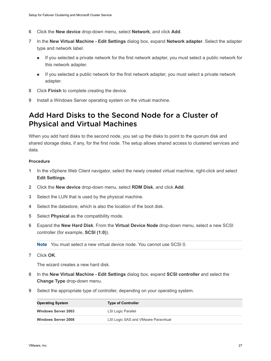- <span id="page-26-0"></span>**6** Click the **New device** drop-down menu, select **Network**, and click **Add**.
- **7** In the **New Virtual Machine Edit Settings** dialog box, expand **Network adapter**. Select the adapter type and network label.
	- **n** If you selected a private network for the first network adapter, you must select a public network for this network adapter.
	- <sup>n</sup> If you selected a public network for the first network adapter, you must select a private network adapter.
- **8** Click **Finish** to complete creating the device.
- **9** Install a Windows Server operating system on the virtual machine.

### Add Hard Disks to the Second Node for a Cluster of Physical and Virtual Machines

When you add hard disks to the second node, you set up the disks to point to the quorum disk and shared storage disks, if any, for the first node. The setup allows shared access to clustered services and data.

#### Procedure

- **1** In the vSphere Web Client navigator, select the newly created virtual machine, right-click and select **Edit Settings**.
- **2** Click the **New device** drop-down menu, select **RDM Disk**, and click **Add**.
- **3** Select the LUN that is used by the physical machine.
- **4** Select the datastore, which is also the location of the boot disk.
- **5** Select **Physical** as the compatibility mode.
- **6** Expand the **New Hard Disk**. From the **Virtual Device Node** drop-down menu, select a new SCSI controller (for example, **SCSI (1:0)**).

**Note** You must select a new virtual device node. You cannot use SCSI 0.

**7** Click **OK**.

The wizard creates a new hard disk.

- **8** In the **New Virtual Machine Edit Settings** dialog box, expand **SCSI controller** and select the **Change Type** drop-down menu.
- **9** Select the appropriate type of controller, depending on your operating system.

| <b>Operating System</b>    | <b>Type of Controller</b>            |
|----------------------------|--------------------------------------|
| <b>Windows Server 2003</b> | LSI Logic Parallel                   |
| <b>Windows Server 2008</b> | LSI Logic SAS and VMware Paravirtual |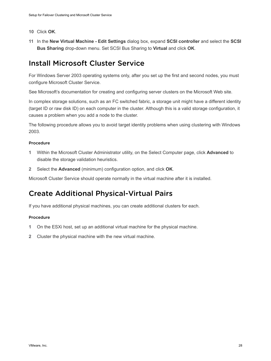- <span id="page-27-0"></span>**10** Click **OK**.
- **11** In the **New Virtual Machine Edit Settings** dialog box, expand **SCSI controller** and select the **SCSI Bus Sharing** drop-down menu. Set SCSI Bus Sharing to **Virtual** and click **OK**.

### Install Microsoft Cluster Service

For Windows Server 2003 operating systems only, after you set up the first and second nodes, you must configure Microsoft Cluster Service.

See Microsoft's documentation for creating and configuring server clusters on the Microsoft Web site.

In complex storage solutions, such as an FC switched fabric, a storage unit might have a different identity (target ID or raw disk ID) on each computer in the cluster. Although this is a valid storage configuration, it causes a problem when you add a node to the cluster.

The following procedure allows you to avoid target identity problems when using clustering with Windows 2003.

#### Procedure

- **1** Within the Microsoft Cluster Administrator utility, on the Select Computer page, click **Advanced** to disable the storage validation heuristics.
- **2** Select the **Advanced** (minimum) configuration option, and click **OK**.

Microsoft Cluster Service should operate normally in the virtual machine after it is installed.

### Create Additional Physical-Virtual Pairs

If you have additional physical machines, you can create additional clusters for each.

#### Procedure

- **1** On the ESXi host, set up an additional virtual machine for the physical machine.
- **2** Cluster the physical machine with the new virtual machine.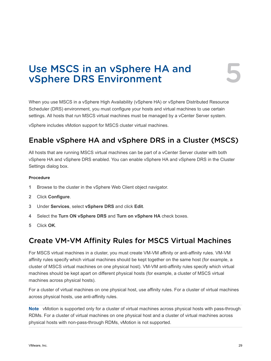# <span id="page-28-0"></span>Use MSCS in an vSphere HA and Use MSCS in an vSphere HA and<br>vSphere DRS Environment

When you use MSCS in a vSphere High Availability (vSphere HA) or vSphere Distributed Resource Scheduler (DRS) environment, you must configure your hosts and virtual machines to use certain settings. All hosts that run MSCS virtual machines must be managed by a vCenter Server system.

vSphere includes vMotion support for MSCS cluster virtual machines.

### Enable vSphere HA and vSphere DRS in a Cluster (MSCS)

All hosts that are running MSCS virtual machines can be part of a vCenter Server cluster with both vSphere HA and vSphere DRS enabled. You can enable vSphere HA and vSphere DRS in the Cluster Settings dialog box.

#### Procedure

- **1** Browse to the cluster in the vSphere Web Client object navigator.
- **2** Click **Configure**.
- **3** Under **Services**, select **vSphere DRS** and click **Edit**.
- **4** Select the **Turn ON vSphere DRS** and **Turn on vSphere HA** check boxes.
- **5** Click **OK**.

### Create VM-VM Affinity Rules for MSCS Virtual Machines

For MSCS virtual machines in a cluster, you must create VM-VM affinity or anti-affinity rules. VM-VM affinity rules specify which virtual machines should be kept together on the same host (for example, a cluster of MSCS virtual machines on one physical host). VM-VM anti-affinity rules specify which virtual machines should be kept apart on different physical hosts (for example, a cluster of MSCS virtual machines across physical hosts).

For a cluster of virtual machines on one physical host, use affinity rules. For a cluster of virtual machines across physical hosts, use anti-affinity rules.

**Note** vMotion is supported only for a cluster of virtual machines across physical hosts with pass-through RDMs. For a cluster of virtual machines on one physical host and a cluster of virtual machines across physical hosts with non-pass-through RDMs, vMotion is not supported.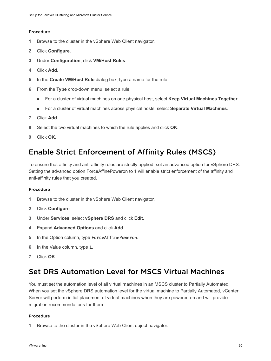#### <span id="page-29-0"></span>Procedure

- **1** Browse to the cluster in the vSphere Web Client navigator.
- **2** Click **Configure**.
- **3** Under **Configuration**, click **VM/Host Rules**.
- **4** Click **Add**.
- **5** In the **Create VM/Host Rule** dialog box, type a name for the rule.
- **6** From the **Type** drop-down menu, select a rule.
	- <sup>n</sup> For a cluster of virtual machines on one physical host, select **Keep Virtual Machines Together**.
	- <sup>n</sup> For a cluster of virtual machines across physical hosts, select **Separate Virtual Machines**.
- **7** Click **Add**.
- **8** Select the two virtual machines to which the rule applies and click **OK**.
- **9** Click **OK**.

### Enable Strict Enforcement of Affinity Rules (MSCS)

To ensure that affinity and anti-affinity rules are strictly applied, set an advanced option for vSphere DRS. Setting the advanced option ForceAffinePoweron to 1 will enable strict enforcement of the affinity and anti-affinity rules that you created.

#### Procedure

- **1** Browse to the cluster in the vSphere Web Client navigator.
- **2** Click **Configure**.
- **3** Under **Services**, select **vSphere DRS** and click **Edit**.
- **4** Expand **Advanced Options** and click **Add**.
- **5** In the Option column, type ForceAffinePoweron.
- **6** In the Value column, type 1.
- **7** Click **OK**.

### Set DRS Automation Level for MSCS Virtual Machines

You must set the automation level of all virtual machines in an MSCS cluster to Partially Automated. When you set the vSphere DRS automation level for the virtual machine to Partially Automated, vCenter Server will perform initial placement of virtual machines when they are powered on and will provide migration recommendations for them.

#### Procedure

**1** Browse to the cluster in the vSphere Web Client object navigator.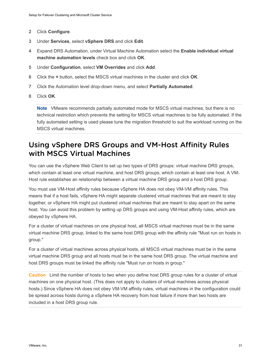- <span id="page-30-0"></span>**2** Click **Configure**.
- **3** Under **Services**, select **vSphere DRS** and click **Edit**.
- **4** Expand DRS Automation, under Virtual Machine Automation select the **Enable individual virtual machine automation levels** check box and click **OK**.
- **5** Under **Configuration**, select **VM Overrides** and click **Add**.
- **6** Click the **+** button, select the MSCS virtual machines in the cluster and click **OK**.
- **7** Click the Automation level drop-down menu, and select **Partially Automated**.
- **8** Click **OK**.

**Note** VMware recommends partially automated mode for MSCS virtual machines, but there is no technical restriction which prevents the setting for MSCS virtual machines to be fully automated. If the fully automated setting is used please tune the migration threshold to suit the workload running on the MSCS virtual machines.

### Using vSphere DRS Groups and VM-Host Affinity Rules with MSCS Virtual Machines

You can use the vSphere Web Client to set up two types of DRS groups: virtual machine DRS groups, which contain at least one virtual machine, and host DRS groups, which contain at least one host. A VM-Host rule establishes an relationship between a virtual machine DRS group and a host DRS group.

You must use VM-Host affinity rules because vSphere HA does not obey VM-VM affinity rules. This means that if a host fails, vSphere HA might separate clustered virtual machines that are meant to stay together, or vSphere HA might put clustered virtual machines that are meant to stay apart on the same host. You can avoid this problem by setting up DRS groups and using VM-Host affinity rules, which are obeyed by vSphere HA.

For a cluster of virtual machines on one physical host, all MSCS virtual machines must be in the same virtual machine DRS group, linked to the same host DRS group with the affinity rule "Must run on hosts in group."

For a cluster of virtual machines across physical hosts, all MSCS virtual machines must be in the same virtual machine DRS group and all hosts must be in the same host DRS group. The virtual machine and host DRS groups must be linked the affinity rule "Must run on hosts in group."

**Caution** Limit the number of hosts to two when you define host DRS group rules for a cluster of virtual machines on one physical host. (This does not apply to clusters of virtual machines across physical hosts.) Since vSphere HA does not obey VM-VM affinity rules, virtual machines in the configuration could be spread across hosts during a vSphere HA recovery from host failure if more than two hosts are included in a host DRS group rule.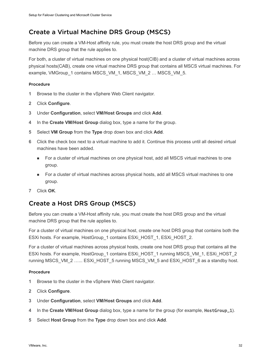### <span id="page-31-0"></span>Create a Virtual Machine DRS Group (MSCS)

Before you can create a VM-Host affinity rule, you must create the host DRS group and the virtual machine DRS group that the rule applies to.

For both, a cluster of virtual machines on one physical host(CIB) and a cluster of virtual machines across physical hosts(CAB), create one virtual machine DRS group that contains all MSCS virtual machines. For example, VMGroup\_1 contains MSCS\_VM\_1, MSCS\_VM\_2 ... MSCS\_VM\_5.

#### Procedure

- **1** Browse to the cluster in the vSphere Web Client navigator.
- **2** Click **Configure**.
- **3** Under **Configuration**, select **VM/Host Groups** and click **Add**.
- **4** In the **Create VM/Host Group** dialog box, type a name for the group.
- **5** Select **VM Group** from the **Type** drop down box and click **Add**.
- **6** Click the check box next to a virtual machine to add it. Continue this process until all desired virtual machines have been added.
	- **n** For a cluster of virtual machines on one physical host, add all MSCS virtual machines to one group.
	- <sup>n</sup> For a cluster of virtual machines across physical hosts, add all MSCS virtual machines to one group.
- **7** Click **OK**.

### Create a Host DRS Group (MSCS)

Before you can create a VM-Host affinity rule, you must create the host DRS group and the virtual machine DRS group that the rule applies to.

For a cluster of virtual machines on one physical host, create one host DRS group that contains both the ESXi hosts. For example, HostGroup\_1 contains ESXi\_HOST\_1, ESXi\_HOST\_2.

For a cluster of virtual machines across physical hosts, create one host DRS group that contains all the ESXi hosts. For example, HostGroup\_1 contains ESXi\_HOST\_1 running MSCS\_VM\_1, ESXi\_HOST\_2 running MSCS\_VM\_2 …… ESXi\_HOST\_5 running MSCS\_VM\_5 and ESXi\_HOST\_6 as a standby host.

#### Procedure

- **1** Browse to the cluster in the vSphere Web Client navigator.
- **2** Click **Configure**.
- **3** Under **Configuration**, select **VM/Host Groups** and click **Add**.
- **4** In the **Create VM/Host Group** dialog box, type a name for the group (for example, HostGroup\_1).
- **5** Select **Host Group** from the **Type** drop down box and click **Add**.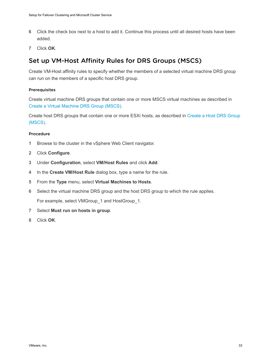- <span id="page-32-0"></span>**6** Click the check box next to a host to add it. Continue this process until all desired hosts have been added.
- **7** Click **OK**.

### Set up VM-Host Affinity Rules for DRS Groups (MSCS)

Create VM-Host affinity rules to specify whether the members of a selected virtual machine DRS group can run on the members of a specific host DRS group.

#### Prerequisites

Create virtual machine DRS groups that contain one or more MSCS virtual machines as described in [Create a Virtual Machine DRS Group \(MSCS\).](#page-31-0)

Create host DRS groups that contain one or more ESXi hosts, as described in [Create a Host DRS Group](#page-31-0) [\(MSCS\).](#page-31-0)

#### Procedure

- **1** Browse to the cluster in the vSphere Web Client navigator.
- **2** Click **Configure**.
- **3** Under **Configuration**, select **VM/Host Rules** and click **Add**.
- **4** In the **Create VM/Host Rule** dialog box, type a name for the rule.
- **5** From the **Type** menu, select **Virtual Machines to Hosts**.
- **6** Select the virtual machine DRS group and the host DRS group to which the rule applies. For example, select VMGroup\_1 and HostGroup\_1.
- **7** Select **Must run on hosts in group**.
- **8** Click **OK**.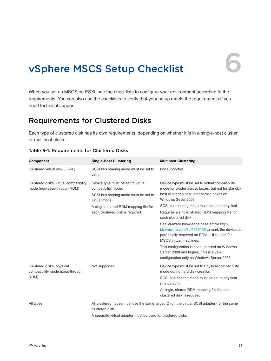## <span id="page-33-0"></span>vSphere MSCS Setup Checklist 6

When you set up MSCS on ESXi, see the checklists to configure your environment according to the requirements. You can also use the checklists to verify that your setup meets the requirements if you need technical support.

### Requirements for Clustered Disks

Each type of clustered disk has its own requirements, depending on whether it is in a single-host cluster or multihost cluster.

| Component                                                             | <b>Single-Host Clustering</b>                                                                                                                                                                   | <b>Multihost Clustering</b>                                                                                                                                                                                                                                                                                                                                                                                                                                                                                                                                                                                              |
|-----------------------------------------------------------------------|-------------------------------------------------------------------------------------------------------------------------------------------------------------------------------------------------|--------------------------------------------------------------------------------------------------------------------------------------------------------------------------------------------------------------------------------------------------------------------------------------------------------------------------------------------------------------------------------------------------------------------------------------------------------------------------------------------------------------------------------------------------------------------------------------------------------------------------|
| Clustered virtual disk (.vmdk)                                        | SCSI bus sharing mode must be set to<br>virtual.                                                                                                                                                | Not supported.                                                                                                                                                                                                                                                                                                                                                                                                                                                                                                                                                                                                           |
| Clustered disks, virtual compatibility<br>mode (non-pass-through RDM) | Device type must be set to virtual<br>compatibility mode.<br>SCSI bus sharing mode must be set to<br>virtual mode.<br>A single, shared RDM mapping file for<br>each clustered disk is required. | Device type must be set to virtual compatibility<br>mode for cluster across boxes, but not for standby<br>host clustering or cluster across boxes on<br>Windows Sever 2008.<br>SCSI bus sharing mode must be set to physical.<br>Requires a single, shared RDM mapping file for<br>each clustered disk.<br>See VMware knowledge base article http://<br>kb.ymware.com/kb/1016106 to mark the device as<br>perennially reserved on RDM LUNs used for<br>MSCS virtual machines.<br>This configuration is not supported on Windows<br>Server 2008 and higher. This is a valid<br>configuration only on Windows Server 2003. |
| Clustered disks, physical<br>compatibility mode (pass-through<br>RDM) | Not supported.                                                                                                                                                                                  | Device type must be set to Physical compatibility<br>mode during hard disk creation.<br>SCSI bus sharing mode must be set to physical<br>(the default).<br>A single, shared RDM mapping file for each<br>clustered disk is required.                                                                                                                                                                                                                                                                                                                                                                                     |
| All types                                                             | clustered disk.<br>A separate virtual adapter must be used for clustered disks.                                                                                                                 | All clustered nodes must use the same target ID (on the virtual SCSI adapter) for the same                                                                                                                                                                                                                                                                                                                                                                                                                                                                                                                               |

#### Table 6-1. Requirements for Clustered Disks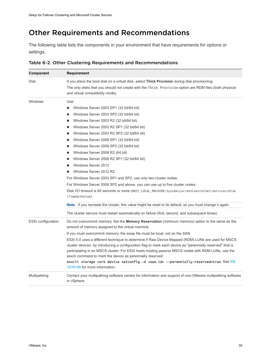### <span id="page-34-0"></span>Other Requirements and Recommendations

The following table lists the components in your environment that have requirements for options or settings.

| Component          | Requirement                                                                                                                                                                                                      |
|--------------------|------------------------------------------------------------------------------------------------------------------------------------------------------------------------------------------------------------------|
| Disk               | If you place the boot disk on a virtual disk, select <b>Thick Provision</b> during disk provisioning.                                                                                                            |
|                    | The only disks that you should not create with the Thick Provision option are RDM files (both physical<br>and virtual compatibility mode).                                                                       |
| Windows            | Use:                                                                                                                                                                                                             |
|                    | Windows Server 2003 SP1 (32 bit/64 bit)<br>■                                                                                                                                                                     |
|                    | Windows Server 2003 SP2 (32 bit/64 bit)                                                                                                                                                                          |
|                    | Windows Server 2003 R2 (32 bit/64 bit)<br>ш                                                                                                                                                                      |
|                    | Windows Server 2003 R2 SP1 (32 bit/64 bit)<br>ш                                                                                                                                                                  |
|                    | Windows Server 2003 R2 SP2 (32 bit/64 bit)<br>ш                                                                                                                                                                  |
|                    | Windows Server 2008 SP1 (32 bit/64 bit)<br>٠                                                                                                                                                                     |
|                    | Windows Server 2008 SP2 (32 bit/64 bit)<br>ш                                                                                                                                                                     |
|                    | Windows Server 2008 R2 (64 bit)                                                                                                                                                                                  |
|                    | Windows Server 2008 R2 SP1 (32 bit/64 bit)                                                                                                                                                                       |
|                    | Windows Server 2012                                                                                                                                                                                              |
|                    | Windows Server 2012 R2<br>٠                                                                                                                                                                                      |
|                    | For Windows Server 2003 SP1 and SP2, use only two cluster nodes.                                                                                                                                                 |
|                    | For Windows Server 2008 SP2 and above, you can use up to five cluster nodes.                                                                                                                                     |
|                    | Disk I/O timeout is 60 seconds or more (HKEY_LOCAL_MACHINE\System\CurrentControlSet\Services\Disk<br>\TimeOutValue).                                                                                             |
|                    | <b>Note</b> If you recreate the cluster, this value might be reset to its default, so you must change it again.                                                                                                  |
|                    | The cluster service must restart automatically on failure (first, second, and subsequent times).                                                                                                                 |
| ESXi configuration | Do not overcommit memory. Set the <b>Memory Reservation</b> (minimum memory) option to the same as the<br>amount of memory assigned to the virtual machine.                                                      |
|                    | If you must overcommit memory, the swap file must be local, not on the SAN.                                                                                                                                      |
|                    | ESXi 5.0 uses a different technique to determine if Raw Device Mapped (RDM) LUNs are used for MSCS<br>cluster devices, by introducing a configuration flag to mark each device as "perennially reserved" that is |
|                    | participating in an MSCS cluster. For ESXi hosts hosting passive MSCS nodes with RDM LUNs, use the                                                                                                               |
|                    | esxcli command to mark the device as perennially reserved:                                                                                                                                                       |
|                    | esxcli storage core device setconfig -d <naa.id> --perennially-reserved=true. See KB<br/>1016106 for more information.</naa.id>                                                                                  |
| Multipathing       | Contact your multipathing software vendor for information and support of non-VMware multipathing software<br>in vSphere.                                                                                         |

Table 6-2. Other Clustering Requirements and Recommendations